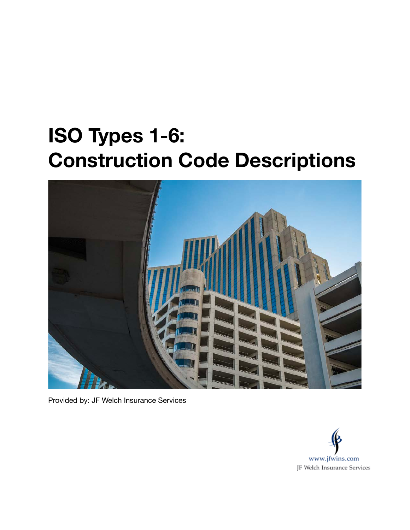# **ISO Types 1-6: Construction Code Descriptions**



Provided by: JF Welch Insurance Services

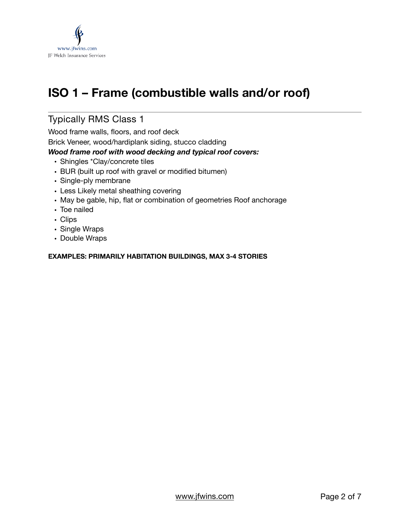

# **ISO 1 – Frame (combustible walls and/or roof)**

## Typically RMS Class 1

Wood frame walls, floors, and roof deck

Brick Veneer, wood/hardiplank siding, stucco cladding

#### *Wood frame roof with wood decking and typical roof covers:*

- Shingles \*Clay/concrete tiles
- BUR (built up roof with gravel or modified bitumen)
- Single-ply membrane
- Less Likely metal sheathing covering
- May be gable, hip, flat or combination of geometries Roof anchorage
- Toe nailed
- Clips
- Single Wraps
- Double Wraps

#### **EXAMPLES: PRIMARILY HABITATION BUILDINGS, MAX 3-4 STORIES**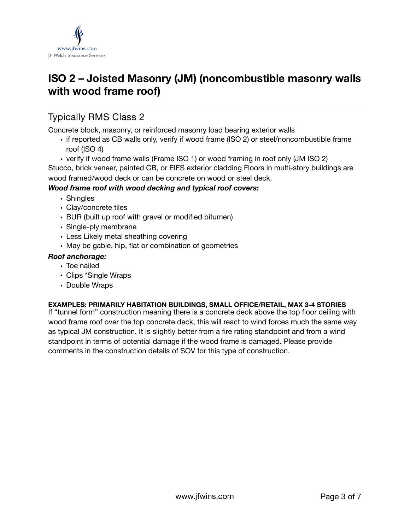

# **ISO 2 – Joisted Masonry (JM) (noncombustible masonry walls with wood frame roof)**

### Typically RMS Class 2

Concrete block, masonry, or reinforced masonry load bearing exterior walls

- if reported as CB walls only, verify if wood frame (ISO 2) or steel/noncombustible frame roof (ISO 4)
- verify if wood frame walls (Frame ISO 1) or wood framing in roof only (JM ISO 2)

Stucco, brick veneer, painted CB, or EIFS exterior cladding Floors in multi-story buildings are wood framed/wood deck or can be concrete on wood or steel deck.

#### *Wood frame roof with wood decking and typical roof covers:*

- Shingles
- Clay/concrete tiles
- BUR (built up roof with gravel or modified bitumen)
- Single-ply membrane
- Less Likely metal sheathing covering
- May be gable, hip, flat or combination of geometries

#### *Roof anchorage:*

- Toe nailed
- Clips \*Single Wraps
- Double Wraps

#### **EXAMPLES: PRIMARILY HABITATION BUILDINGS, SMALL OFFICE/RETAIL, MAX 3-4 STORIES**

If "tunnel form" construction meaning there is a concrete deck above the top floor ceiling with wood frame roof over the top concrete deck, this will react to wind forces much the same way as typical JM construction. It is slightly better from a fire rating standpoint and from a wind standpoint in terms of potential damage if the wood frame is damaged. Please provide comments in the construction details of SOV for this type of construction.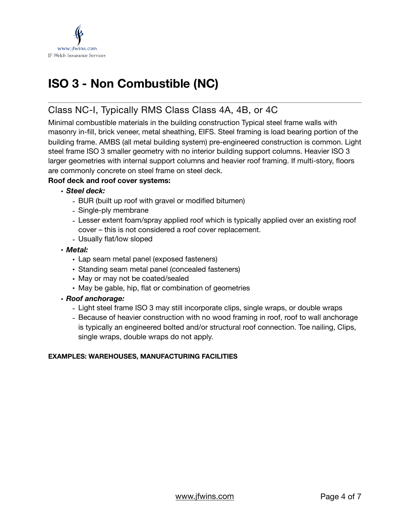

# **ISO 3 - Non Combustible (NC)**

### Class NC-I, Typically RMS Class Class 4A, 4B, or 4C

Minimal combustible materials in the building construction Typical steel frame walls with masonry in-fill, brick veneer, metal sheathing, EIFS. Steel framing is load bearing portion of the building frame. AMBS (all metal building system) pre-engineered construction is common. Light steel frame ISO 3 smaller geometry with no interior building support columns. Heavier ISO 3 larger geometries with internal support columns and heavier roof framing. If multi-story, floors are commonly concrete on steel frame on steel deck.

#### **Roof deck and roof cover systems:**

- *• Steel deck:* 
	- BUR (built up roof with gravel or modified bitumen)
	- Single-ply membrane
	- Lesser extent foam/spray applied roof which is typically applied over an existing roof cover – this is not considered a roof cover replacement.
	- Usually flat/low sloped
- *• Metal:* 
	- Lap seam metal panel (exposed fasteners)
	- Standing seam metal panel (concealed fasteners)
	- May or may not be coated/sealed
	- May be gable, hip, flat or combination of geometries

#### *• Roof anchorage:*

- Light steel frame ISO 3 may still incorporate clips, single wraps, or double wraps
- Because of heavier construction with no wood framing in roof, roof to wall anchorage is typically an engineered bolted and/or structural roof connection. Toe nailing, Clips, single wraps, double wraps do not apply.

#### **EXAMPLES: WAREHOUSES, MANUFACTURING FACILITIES**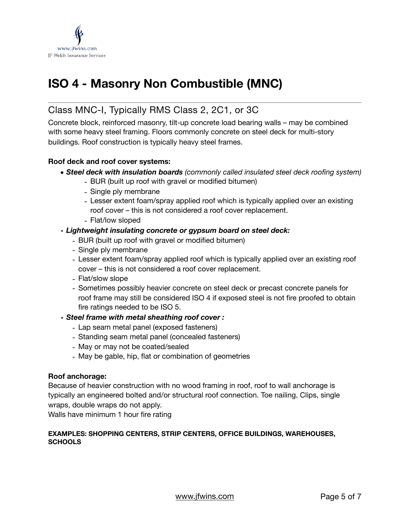

# **ISO 4 - Masonry Non Combustible (MNC)**

### Class MNC-I, Typically RMS Class 2, 2C1, or 3C

Concrete block, reinforced masonry, tilt-up concrete load bearing walls – may be combined with some heavy steel framing. Floors commonly concrete on steel deck for multi-story buildings. Roof construction is typically heavy steel frames.

#### **Roof deck and roof cover systems:**

- *• Steel deck with insulation boards (commonly called insulated steel deck roofing system)* 
	- BUR (built up roof with gravel or modified bitumen)
	- Single ply membrane
	- Lesser extent foam/spray applied roof which is typically applied over an existing roof cover – this is not considered a roof cover replacement.
	- Flat/low sloped

#### *• Lightweight insulating concrete or gypsum board on steel deck:*

- BUR (built up roof with gravel or modified bitumen)
- Single ply membrane
- Lesser extent foam/spray applied roof which is typically applied over an existing roof cover – this is not considered a roof cover replacement.
- Flat/slow slope
- Sometimes possibly heavier concrete on steel deck or precast concrete panels for roof frame may still be considered ISO 4 if exposed steel is not fire proofed to obtain fire ratings needed to be ISO 5.

#### *• Steel frame with metal sheathing roof cover :*

- Lap seam metal panel (exposed fasteners)
- Standing seam metal panel (concealed fasteners)
- May or may not be coated/sealed
- May be gable, hip, flat or combination of geometries

#### **Roof anchorage:**

Because of heavier construction with no wood framing in roof, roof to wall anchorage is typically an engineered bolted and/or structural roof connection. Toe nailing, Clips, single wraps, double wraps do not apply.

Walls have minimum 1 hour fire rating

#### **EXAMPLES: SHOPPING CENTERS, STRIP CENTERS, OFFICE BUILDINGS, WAREHOUSES, SCHOOLS**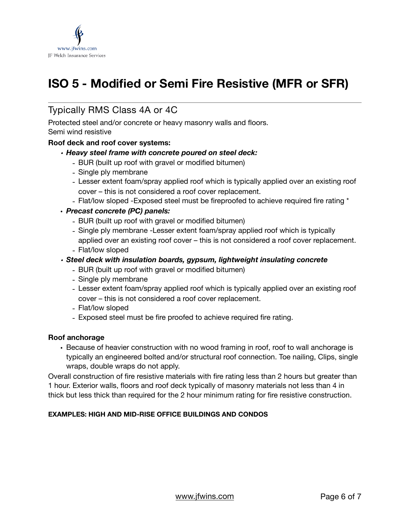

# **ISO 5 - Modified or Semi Fire Resistive (MFR or SFR)**

### Typically RMS Class 4A or 4C

Protected steel and/or concrete or heavy masonry walls and floors.

#### Semi wind resistive

#### **Roof deck and roof cover systems:**

#### *• Heavy steel frame with concrete poured on steel deck:*

- BUR (built up roof with gravel or modified bitumen)
- Single ply membrane
- Lesser extent foam/spray applied roof which is typically applied over an existing roof cover – this is not considered a roof cover replacement.
- Flat/low sloped -Exposed steel must be fireproofed to achieve required fire rating \*

#### • *Precast concrete (PC) panels:*

- BUR (built up roof with gravel or modified bitumen)
- Single ply membrane -Lesser extent foam/spray applied roof which is typically applied over an existing roof cover – this is not considered a roof cover replacement.
- Flat/low sloped
- *• Steel deck with insulation boards, gypsum, lightweight insulating concrete* 
	- BUR (built up roof with gravel or modified bitumen)
	- Single ply membrane
	- Lesser extent foam/spray applied roof which is typically applied over an existing roof cover – this is not considered a roof cover replacement.
	- Flat/low sloped
	- Exposed steel must be fire proofed to achieve required fire rating.

#### **Roof anchorage**

• Because of heavier construction with no wood framing in roof, roof to wall anchorage is typically an engineered bolted and/or structural roof connection. Toe nailing, Clips, single wraps, double wraps do not apply.

Overall construction of fire resistive materials with fire rating less than 2 hours but greater than 1 hour. Exterior walls, floors and roof deck typically of masonry materials not less than 4 in thick but less thick than required for the 2 hour minimum rating for fire resistive construction.

#### **EXAMPLES: HIGH AND MID-RISE OFFICE BUILDINGS AND CONDOS**